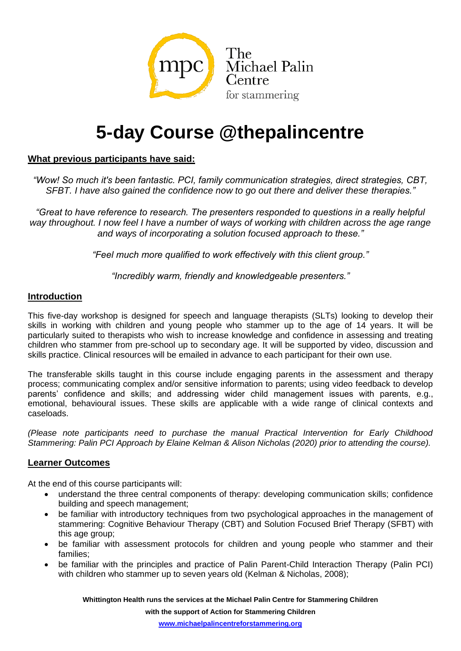

# **5-day Course @thepalincentre**

## **What previous participants have said:**

*"Wow! So much it's been fantastic. PCI, family communication strategies, direct strategies, CBT, SFBT. I have also gained the confidence now to go out there and deliver these therapies."*

*"Great to have reference to research. The presenters responded to questions in a really helpful*  way throughout. I now feel I have a number of ways of working with children across the age range *and ways of incorporating a solution focused approach to these."*

*"Feel much more qualified to work effectively with this client group."*

*"Incredibly warm, friendly and knowledgeable presenters."*

#### **Introduction**

This five-day workshop is designed for speech and language therapists (SLTs) looking to develop their skills in working with children and young people who stammer up to the age of 14 years. It will be particularly suited to therapists who wish to increase knowledge and confidence in assessing and treating children who stammer from pre-school up to secondary age. It will be supported by video, discussion and skills practice. Clinical resources will be emailed in advance to each participant for their own use.

The transferable skills taught in this course include engaging parents in the assessment and therapy process; communicating complex and/or sensitive information to parents; using video feedback to develop parents' confidence and skills; and addressing wider child management issues with parents, e.g., emotional, behavioural issues. These skills are applicable with a wide range of clinical contexts and caseloads.

*(Please note participants need to purchase the manual Practical Intervention for Early Childhood Stammering: Palin PCI Approach by Elaine Kelman & Alison Nicholas (2020) prior to attending the course).*

### **Learner Outcomes**

At the end of this course participants will:

- understand the three central components of therapy: developing communication skills; confidence building and speech management;
- be familiar with introductory techniques from two psychological approaches in the management of stammering: Cognitive Behaviour Therapy (CBT) and Solution Focused Brief Therapy (SFBT) with this age group;
- be familiar with assessment protocols for children and young people who stammer and their families;
- be familiar with the principles and practice of Palin Parent-Child Interaction Therapy (Palin PCI) with children who stammer up to seven years old (Kelman & Nicholas, 2008);

**Whittington Health runs the services at the Michael Palin Centre for Stammering Children with the support of Action for Stammering Children**